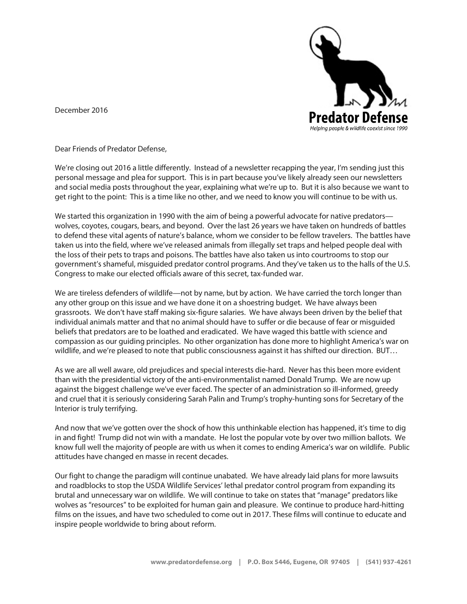December 2016



Dear Friends of Predator Defense,

We're closing out 2016 a little differently. Instead of a newsletter recapping the year, I'm sending just this personal message and plea for support. This is in part because you've likely already seen our newsletters and social media posts throughout the year, explaining what we're up to. But it is also because we want to get right to the point: This is a time like no other, and we need to know you will continue to be with us.

We started this organization in 1990 with the aim of being a powerful advocate for native predators wolves, coyotes, cougars, bears, and beyond. Over the last 26 years we have taken on hundreds of battles to defend these vital agents of nature's balance, whom we consider to be fellow travelers. The battles have taken us into the field, where we've released animals from illegally set traps and helped people deal with the loss of their pets to traps and poisons. The battles have also taken us into courtrooms to stop our government's shameful, misguided predator control programs. And they've taken us to the halls of the U.S. Congress to make our elected officials aware of this secret, tax-funded war.

We are tireless defenders of wildlife—not by name, but by action. We have carried the torch longer than any other group on this issue and we have done it on a shoestring budget. We have always been grassroots. We don't have staff making six-figure salaries. We have always been driven by the belief that individual animals matter and that no animal should have to suffer or die because of fear or misguided beliefs that predators are to be loathed and eradicated. We have waged this battle with science and compassion as our guiding principles. No other organization has done more to highlight America's war on wildlife, and we're pleased to note that public consciousness against it has shifted our direction. BUT…

As we are all well aware, old prejudices and special interests die-hard. Never has this been more evident than with the presidential victory of the anti-environmentalist named Donald Trump. We are now up against the biggest challenge we've ever faced. The specter of an administration so ill-informed, greedy and cruel that it is seriously considering Sarah Palin and Trump's trophy-hunting sons for Secretary of the Interior is truly terrifying.

And now that we've gotten over the shock of how this unthinkable election has happened, it's time to dig in and fight! Trump did not win with a mandate. He lost the popular vote by over two million ballots. We know full well the majority of people are with us when it comes to ending America's war on wildlife. Public attitudes have changed en masse in recent decades.

Our fight to change the paradigm will continue unabated. We have already laid plans for more lawsuits and roadblocks to stop the USDA Wildlife Services' lethal predator control program from expanding its brutal and unnecessary war on wildlife. We will continue to take on states that "manage" predators like wolves as "resources" to be exploited for human gain and pleasure. We continue to produce hard-hitting films on the issues, and have two scheduled to come out in 2017. These films will continue to educate and inspire people worldwide to bring about reform.